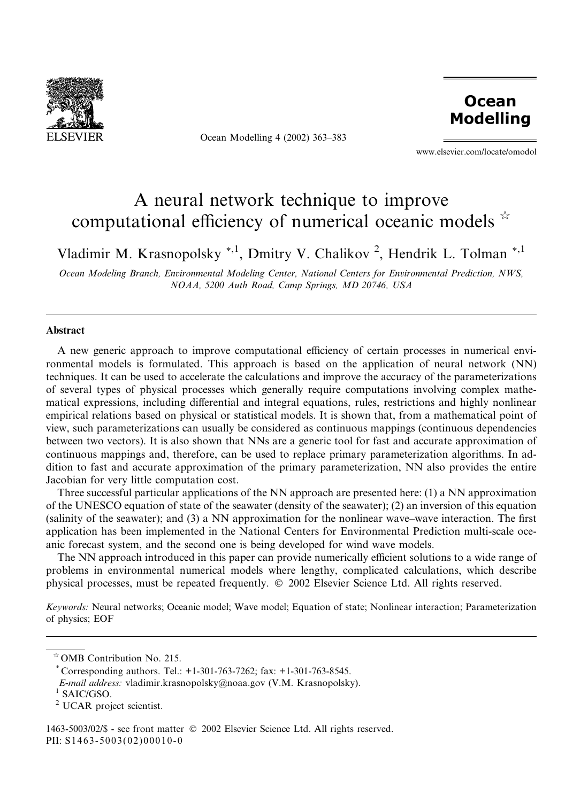

Ocean Modelling 4 (2002) 363–383

**Ocean Modelling** 

www.elsevier.com/locate/omodol

# A neural network technique to improve computational efficiency of numerical oceanic models  $\dot{\alpha}$

Vladimir M. Krasnopolsky \*,1, Dmitry V. Chalikov<sup>2</sup>, Hendrik L. Tolman \*,1

Ocean Modeling Branch, Environmental Modeling Center, National Centers for Environmental Prediction, NWS, NOAA, 5200 Auth Road, Camp Springs, MD 20746, USA

#### Abstract

A new generic approach to improve computational efficiency of certain processes in numerical environmental models is formulated. This approach is based on the application of neural network (NN) techniques. It can be used to accelerate the calculations and improve the accuracy of the parameterizations of several types of physical processes which generally require computations involving complex mathematical expressions, including differential and integral equations, rules, restrictions and highly nonlinear empirical relations based on physical or statistical models. It is shown that, from a mathematical point of view, such parameterizations can usually be considered as continuous mappings (continuous dependencies between two vectors). It is also shown that NNs are a generic tool for fast and accurate approximation of continuous mappings and, therefore, can be used to replace primary parameterization algorithms. In addition to fast and accurate approximation of the primary parameterization, NN also provides the entire Jacobian for very little computation cost.

Three successful particular applications of the NN approach are presented here: (1) a NN approximation of the UNESCO equation of state of the seawater (density of the seawater); (2) an inversion of this equation (salinity of the seawater); and (3) a NN approximation for the nonlinear wave–wave interaction. The first application has been implemented in the National Centers for Environmental Prediction multi-scale oceanic forecast system, and the second one is being developed for wind wave models.

The NN approach introduced in this paper can provide numerically efficient solutions to a wide range of problems in environmental numerical models where lengthy, complicated calculations, which describe physical processes, must be repeated frequently. 2002 Elsevier Science Ltd. All rights reserved.

Keywords: Neural networks; Oceanic model; Wave model; Equation of state; Nonlinear interaction; Parameterization of physics; EOF

 $*$  OMB Contribution No. 215.

<sup>\*</sup> Corresponding authors. Tel.: +1-301-763-7262; fax: +1-301-763-8545.

E-mail address: vladimir.krasnopolsky@noaa.gov (V.M. Krasnopolsky).<br><sup>1</sup> SAIC/GSO.

<sup>2</sup> UCAR project scientist.

<sup>1463-5003/02/\$ -</sup> see front matter © 2002 Elsevier Science Ltd. All rights reserved. PII: S1463-5003(02)00010-0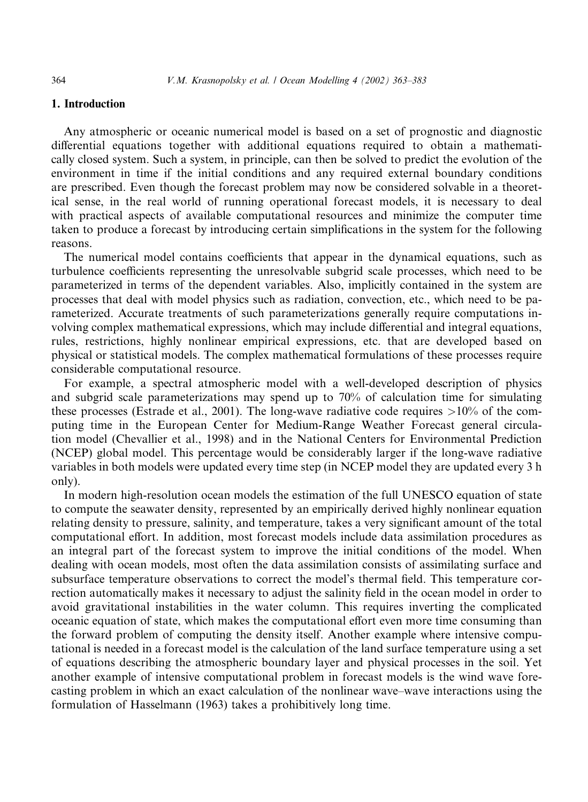#### 1. Introduction

Any atmospheric or oceanic numerical model is based on a set of prognostic and diagnostic differential equations together with additional equations required to obtain a mathematically closed system. Such a system, in principle, can then be solved to predict the evolution of the environment in time if the initial conditions and any required external boundary conditions are prescribed. Even though the forecast problem may now be considered solvable in a theoretical sense, in the real world of running operational forecast models, it is necessary to deal with practical aspects of available computational resources and minimize the computer time taken to produce a forecast by introducing certain simplifications in the system for the following reasons.

The numerical model contains coefficients that appear in the dynamical equations, such as turbulence coefficients representing the unresolvable subgrid scale processes, which need to be parameterized in terms of the dependent variables. Also, implicitly contained in the system are processes that deal with model physics such as radiation, convection, etc., which need to be parameterized. Accurate treatments of such parameterizations generally require computations involving complex mathematical expressions, which may include differential and integral equations, rules, restrictions, highly nonlinear empirical expressions, etc. that are developed based on physical or statistical models. The complex mathematical formulations of these processes require considerable computational resource.

For example, a spectral atmospheric model with a well-developed description of physics and subgrid scale parameterizations may spend up to 70% of calculation time for simulating these processes (Estrade et al., 2001). The long-wave radiative code requires  $>10\%$  of the computing time in the European Center for Medium-Range Weather Forecast general circulation model (Chevallier et al., 1998) and in the National Centers for Environmental Prediction (NCEP) global model. This percentage would be considerably larger if the long-wave radiative variables in both models were updated every time step (in NCEP model they are updated every 3 h only).

In modern high-resolution ocean models the estimation of the full UNESCO equation of state to compute the seawater density, represented by an empirically derived highly nonlinear equation relating density to pressure, salinity, and temperature, takes a very significant amount of the total computational effort. In addition, most forecast models include data assimilation procedures as an integral part of the forecast system to improve the initial conditions of the model. When dealing with ocean models, most often the data assimilation consists of assimilating surface and subsurface temperature observations to correct the model's thermal field. This temperature correction automatically makes it necessary to adjust the salinity field in the ocean model in order to avoid gravitational instabilities in the water column. This requires inverting the complicated oceanic equation of state, which makes the computational effort even more time consuming than the forward problem of computing the density itself. Another example where intensive computational is needed in a forecast model is the calculation of the land surface temperature using a set of equations describing the atmospheric boundary layer and physical processes in the soil. Yet another example of intensive computational problem in forecast models is the wind wave forecasting problem in which an exact calculation of the nonlinear wave–wave interactions using the formulation of Hasselmann (1963) takes a prohibitively long time.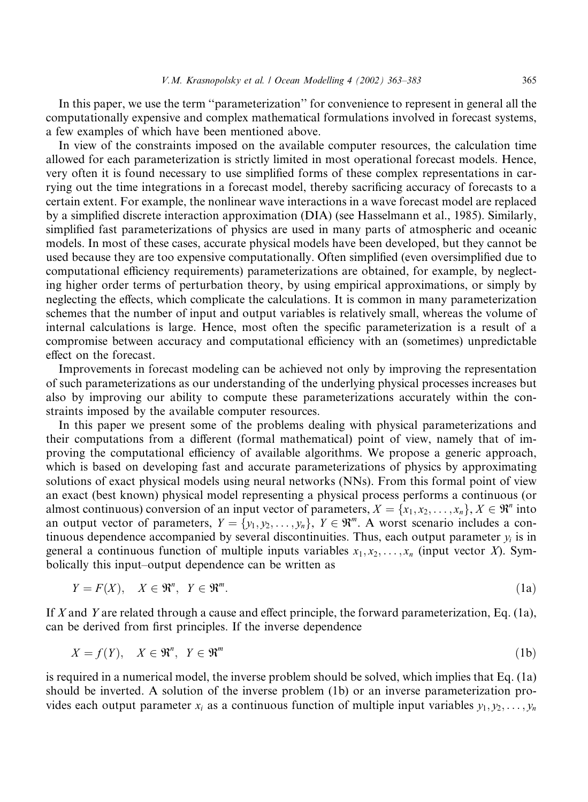In this paper, we use the term ''parameterization'' for convenience to represent in general all the computationally expensive and complex mathematical formulations involved in forecast systems, a few examples of which have been mentioned above.

In view of the constraints imposed on the available computer resources, the calculation time allowed for each parameterization is strictly limited in most operational forecast models. Hence, very often it is found necessary to use simplified forms of these complex representations in carrying out the time integrations in a forecast model, thereby sacrificing accuracy of forecasts to a certain extent. For example, the nonlinear wave interactions in a wave forecast model are replaced by a simplified discrete interaction approximation (DIA) (see Hasselmann et al., 1985). Similarly, simplified fast parameterizations of physics are used in many parts of atmospheric and oceanic models. In most of these cases, accurate physical models have been developed, but they cannot be used because they are too expensive computationally. Often simplified (even oversimplified due to computational efficiency requirements) parameterizations are obtained, for example, by neglecting higher order terms of perturbation theory, by using empirical approximations, or simply by neglecting the effects, which complicate the calculations. It is common in many parameterization schemes that the number of input and output variables is relatively small, whereas the volume of internal calculations is large. Hence, most often the specific parameterization is a result of a compromise between accuracy and computational efficiency with an (sometimes) unpredictable effect on the forecast.

Improvements in forecast modeling can be achieved not only by improving the representation of such parameterizations as our understanding of the underlying physical processes increases but also by improving our ability to compute these parameterizations accurately within the constraints imposed by the available computer resources.

In this paper we present some of the problems dealing with physical parameterizations and their computations from a different (formal mathematical) point of view, namely that of improving the computational efficiency of available algorithms. We propose a generic approach, which is based on developing fast and accurate parameterizations of physics by approximating solutions of exact physical models using neural networks (NNs). From this formal point of view an exact (best known) physical model representing a physical process performs a continuous (or almost continuous) conversion of an input vector of parameters,  $X = \{x_1, x_2, \ldots, x_n\}, X \in \mathbb{R}^n$  into an output vector of parameters,  $Y = \{y_1, y_2, \ldots, y_n\}$ ,  $Y \in \mathbb{R}^m$ . A worst scenario includes a continuous dependence accompanied by several discontinuities. Thus, each output parameter  $y_i$  is in general a continuous function of multiple inputs variables  $x_1, x_2, \ldots, x_n$  (input vector X). Symbolically this input–output dependence can be written as

$$
Y = F(X), \quad X \in \mathfrak{R}^n, \quad Y \in \mathfrak{R}^m. \tag{1a}
$$

If X and Y are related through a cause and effect principle, the forward parameterization, Eq. (1a), can be derived from first principles. If the inverse dependence

$$
X = f(Y), \quad X \in \mathfrak{R}^n, \ Y \in \mathfrak{R}^m \tag{1b}
$$

is required in a numerical model, the inverse problem should be solved, which implies that Eq. (1a) should be inverted. A solution of the inverse problem (1b) or an inverse parameterization provides each output parameter  $x_i$  as a continuous function of multiple input variables  $y_1, y_2, \ldots, y_n$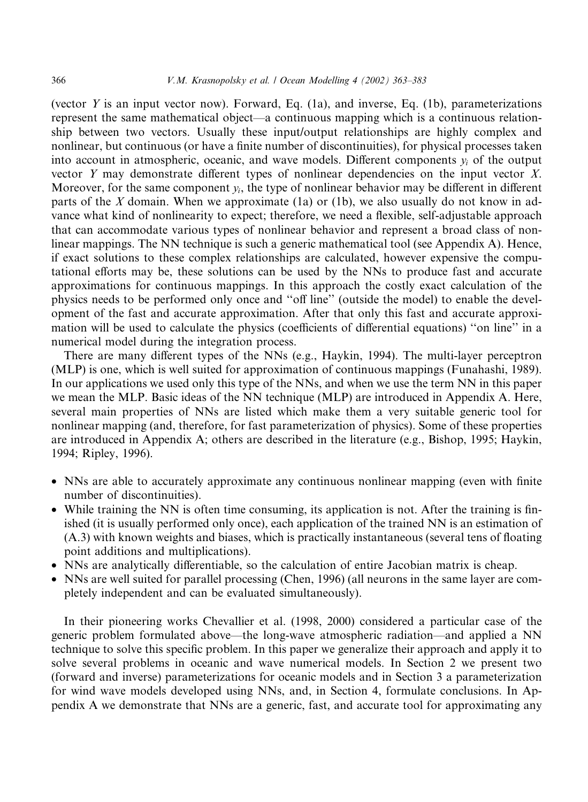(vector Y is an input vector now). Forward, Eq.  $(1a)$ , and inverse, Eq.  $(1b)$ , parameterizations represent the same mathematical object—a continuous mapping which is a continuous relationship between two vectors. Usually these input/output relationships are highly complex and nonlinear, but continuous (or have a finite number of discontinuities), for physical processes taken into account in atmospheric, oceanic, and wave models. Different components  $y_i$  of the output vector  $Y$  may demonstrate different types of nonlinear dependencies on the input vector  $X$ . Moreover, for the same component  $y_i$ , the type of nonlinear behavior may be different in different parts of the  $X$  domain. When we approximate (1a) or (1b), we also usually do not know in advance what kind of nonlinearity to expect; therefore, we need a flexible, self-adjustable approach that can accommodate various types of nonlinear behavior and represent a broad class of nonlinear mappings. The NN technique is such a generic mathematical tool (see Appendix A). Hence, if exact solutions to these complex relationships are calculated, however expensive the computational efforts may be, these solutions can be used by the NNs to produce fast and accurate approximations for continuous mappings. In this approach the costly exact calculation of the physics needs to be performed only once and ''off line'' (outside the model) to enable the development of the fast and accurate approximation. After that only this fast and accurate approximation will be used to calculate the physics (coefficients of differential equations) ''on line'' in a numerical model during the integration process.

There are many different types of the NNs (e.g., Haykin, 1994). The multi-layer perceptron (MLP) is one, which is well suited for approximation of continuous mappings (Funahashi, 1989). In our applications we used only this type of the NNs, and when we use the term NN in this paper we mean the MLP. Basic ideas of the NN technique (MLP) are introduced in Appendix A. Here, several main properties of NNs are listed which make them a very suitable generic tool for nonlinear mapping (and, therefore, for fast parameterization of physics). Some of these properties are introduced in Appendix A; others are described in the literature (e.g., Bishop, 1995; Haykin, 1994; Ripley, 1996).

- NNs are able to accurately approximate any continuous nonlinear mapping (even with finite number of discontinuities).
- While training the NN is often time consuming, its application is not. After the training is finished (it is usually performed only once), each application of the trained NN is an estimation of (A.3) with known weights and biases, which is practically instantaneous (several tens of floating point additions and multiplications).
- NNs are analytically differentiable, so the calculation of entire Jacobian matrix is cheap.
- NNs are well suited for parallel processing (Chen, 1996) (all neurons in the same layer are completely independent and can be evaluated simultaneously).

In their pioneering works Chevallier et al. (1998, 2000) considered a particular case of the generic problem formulated above—the long-wave atmospheric radiation—and applied a NN technique to solve this specific problem. In this paper we generalize their approach and apply it to solve several problems in oceanic and wave numerical models. In Section 2 we present two (forward and inverse) parameterizations for oceanic models and in Section 3 a parameterization for wind wave models developed using NNs, and, in Section 4, formulate conclusions. In Appendix A we demonstrate that NNs are a generic, fast, and accurate tool for approximating any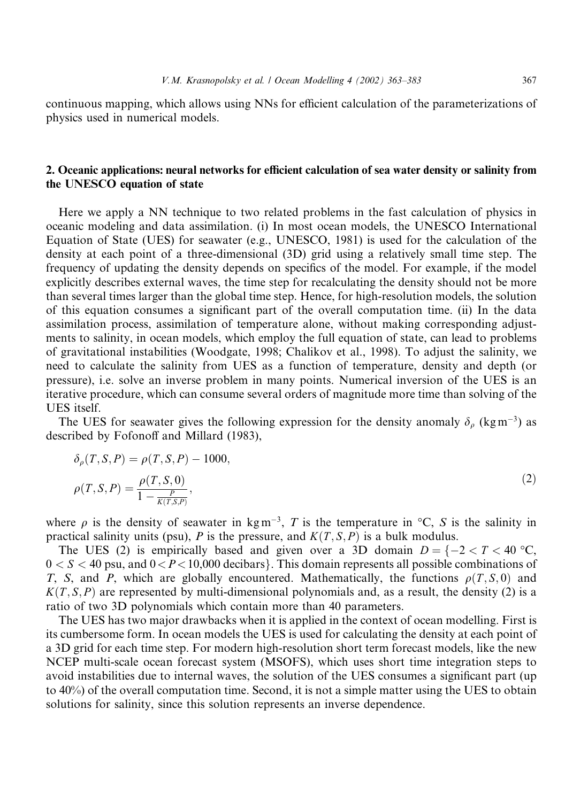continuous mapping, which allows using NNs for efficient calculation of the parameterizations of physics used in numerical models.

## 2. Oceanic applications: neural networks for efficient calculation of sea water density or salinity from the UNESCO equation of state

Here we apply a NN technique to two related problems in the fast calculation of physics in oceanic modeling and data assimilation. (i) In most ocean models, the UNESCO International Equation of State (UES) for seawater (e.g., UNESCO, 1981) is used for the calculation of the density at each point of a three-dimensional (3D) grid using a relatively small time step. The frequency of updating the density depends on specifics of the model. For example, if the model explicitly describes external waves, the time step for recalculating the density should not be more than several times larger than the global time step. Hence, for high-resolution models, the solution of this equation consumes a significant part of the overall computation time. (ii) In the data assimilation process, assimilation of temperature alone, without making corresponding adjustments to salinity, in ocean models, which employ the full equation of state, can lead to problems of gravitational instabilities (Woodgate, 1998; Chalikov et al., 1998). To adjust the salinity, we need to calculate the salinity from UES as a function of temperature, density and depth (or pressure), i.e. solve an inverse problem in many points. Numerical inversion of the UES is an iterative procedure, which can consume several orders of magnitude more time than solving of the UES itself.

The UES for seawater gives the following expression for the density anomaly  $\delta_{\alpha}$  (kg m<sup>-3</sup>) as described by Fofonoff and Millard (1983),

$$
\delta_{\rho}(T, S, P) = \rho(T, S, P) - 1000,
$$
  

$$
\rho(T, S, P) = \frac{\rho(T, S, 0)}{1 - \frac{P}{K(T, S, P)}},
$$
\n(2)

where  $\rho$  is the density of seawater in kg m<sup>-3</sup>, T is the temperature in  ${}^{\circ}C$ , S is the salinity in practical salinity units (psu), P is the pressure, and  $K(T, S, P)$  is a bulk modulus.

The UES (2) is empirically based and given over a 3D domain  $D = \{-2 < T < 40\,^{\circ}\text{C},\}$  $0 < S < 40$  psu, and  $0 < P < 10,000$  decibars}. This domain represents all possible combinations of T, S, and P, which are globally encountered. Mathematically, the functions  $\rho(T, S, 0)$  and  $K(T, S, P)$  are represented by multi-dimensional polynomials and, as a result, the density (2) is a ratio of two 3D polynomials which contain more than 40 parameters.

The UES has two major drawbacks when it is applied in the context of ocean modelling. First is its cumbersome form. In ocean models the UES is used for calculating the density at each point of a 3D grid for each time step. For modern high-resolution short term forecast models, like the new NCEP multi-scale ocean forecast system (MSOFS), which uses short time integration steps to avoid instabilities due to internal waves, the solution of the UES consumes a significant part (up to 40%) of the overall computation time. Second, it is not a simple matter using the UES to obtain solutions for salinity, since this solution represents an inverse dependence.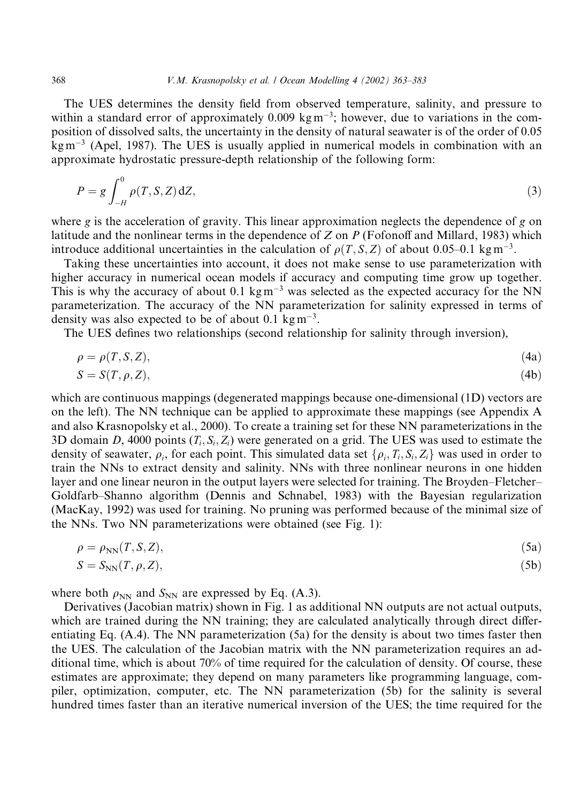The UES determines the density field from observed temperature, salinity, and pressure to within a standard error of approximately  $0.009 \text{ kg m}^{-3}$ ; however, due to variations in the composition of dissolved salts, the uncertainty in the density of natural seawater is of the order of 0.05  $kg m<sup>-3</sup>$  (Apel, 1987). The UES is usually applied in numerical models in combination with an approximate hydrostatic pressure-depth relationship of the following form:

$$
P = g \int_{-H}^{0} \rho(T, S, Z) \, \mathrm{d}Z,\tag{3}
$$

where g is the acceleration of gravity. This linear approximation neglects the dependence of g on latitude and the nonlinear terms in the dependence of  $Z$  on  $P$  (Fofonoff and Millard, 1983) which introduce additional uncertainties in the calculation of  $\rho(T, S, Z)$  of about 0.05–0.1 kg m<sup>-3</sup>.

Taking these uncertainties into account, it does not make sense to use parameterization with higher accuracy in numerical ocean models if accuracy and computing time grow up together. This is why the accuracy of about 0.1 kg m<sup>-3</sup> was selected as the expected accuracy for the NN parameterization. The accuracy of the NN parameterization for salinity expressed in terms of density was also expected to be of about 0.1 kg  $\text{m}^{-3}$ .

The UES defines two relationships (second relationship for salinity through inversion),

$$
\rho = \rho(T, S, Z),\tag{4a}
$$

$$
S = S(T, \rho, Z), \tag{4b}
$$

which are continuous mappings (degenerated mappings because one-dimensional (1D) vectors are on the left). The NN technique can be applied to approximate these mappings (see Appendix A and also Krasnopolsky et al., 2000). To create a training set for these NN parameterizations in the 3D domain D, 4000 points  $(T_i, S_i, Z_i)$  were generated on a grid. The UES was used to estimate the density of seawater,  $\rho_i$ , for each point. This simulated data set  $\{\rho_i, T_i, S_i, Z_i\}$  was used in order to train the NNs to extract density and salinity. NNs with three nonlinear neurons in one hidden layer and one linear neuron in the output layers were selected for training. The Broyden–Fletcher– Goldfarb–Shanno algorithm (Dennis and Schnabel, 1983) with the Bayesian regularization (MacKay, 1992) was used for training. No pruning was performed because of the minimal size of the NNs. Two NN parameterizations were obtained (see Fig. 1):

$$
\rho = \rho_{\rm NN}(T, S, Z),\tag{5a}
$$

$$
S = S_{NN}(T, \rho, Z), \tag{5b}
$$

where both  $\rho_{NN}$  and  $S_{NN}$  are expressed by Eq. (A.3).

Derivatives (Jacobian matrix) shown in Fig. 1 as additional NN outputs are not actual outputs, which are trained during the NN training; they are calculated analytically through direct differentiating Eq. (A.4). The NN parameterization (5a) for the density is about two times faster then the UES. The calculation of the Jacobian matrix with the NN parameterization requires an additional time, which is about 70% of time required for the calculation of density. Of course, these estimates are approximate; they depend on many parameters like programming language, compiler, optimization, computer, etc. The NN parameterization (5b) for the salinity is several hundred times faster than an iterative numerical inversion of the UES; the time required for the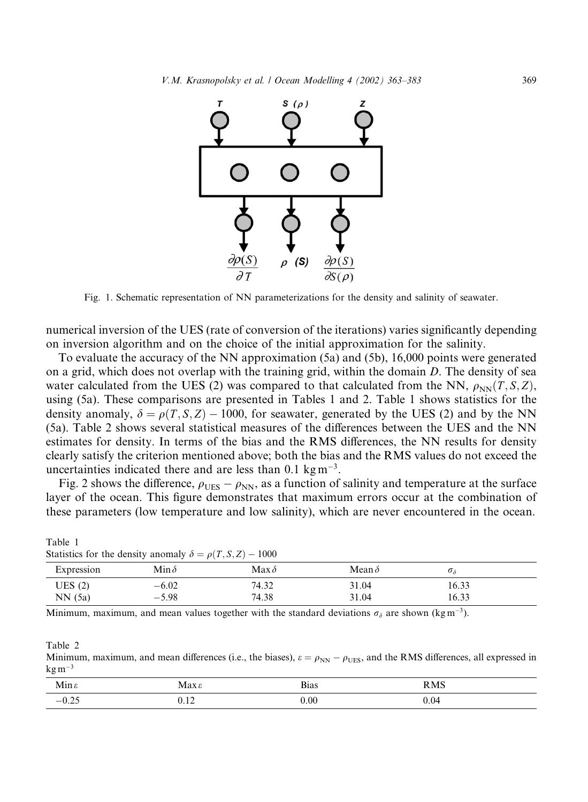

Fig. 1. Schematic representation of NN parameterizations for the density and salinity of seawater.

numerical inversion of the UES (rate of conversion of the iterations) varies significantly depending on inversion algorithm and on the choice of the initial approximation for the salinity.

To evaluate the accuracy of the NN approximation (5a) and (5b), 16,000 points were generated on a grid, which does not overlap with the training grid, within the domain  $D$ . The density of sea water calculated from the UES (2) was compared to that calculated from the NN,  $\rho_{NN}(T, S, Z)$ , using (5a). These comparisons are presented in Tables 1 and 2. Table 1 shows statistics for the density anomaly,  $\delta = \rho(T, S, Z) - 1000$ , for seawater, generated by the UES (2) and by the NN (5a). Table 2 shows several statistical measures of the differences between the UES and the NN estimates for density. In terms of the bias and the RMS differences, the NN results for density clearly satisfy the criterion mentioned above; both the bias and the RMS values do not exceed the uncertainties indicated there and are less than  $0.1 \text{ kg m}^{-3}$ .

Fig. 2 shows the difference,  $\rho_{\text{UES}} - \rho_{\text{NN}}$ , as a function of salinity and temperature at the surface layer of the ocean. This figure demonstrates that maximum errors occur at the combination of these parameters (low temperature and low salinity), which are never encountered in the ocean.

| Statistics for the density anomaly $\delta = \rho(T, S, Z) - 1000$ |              |              |               |                   |  |
|--------------------------------------------------------------------|--------------|--------------|---------------|-------------------|--|
| Expression                                                         | Min $\delta$ | $Max \delta$ | Mean $\delta$ | $\sigma_{\delta}$ |  |
| UES $(2)$                                                          | $-6.02$      | 74.32        | 31.04         | 16.33             |  |
| NN(5a)                                                             | $-5.98$      | 74.38        | 31.04         | 16.33             |  |

Minimum, maximum, and mean values together with the standard deviations  $\sigma_{\delta}$  are shown (kg m<sup>-3</sup>).

Table 2

Table 1

Minimum, maximum, and mean differences (i.e., the biases),  $\varepsilon = \rho_{NN} - \rho_{UES}$ , and the RMS differences, all expressed in  $kg m^{-3}$ 

|                                    |      | -<br><b>B</b> las | $\sim$ |
|------------------------------------|------|-------------------|--------|
| -<br>$\mathbf{v} \cdot \mathbf{v}$ | $ -$ | 0.00              | J.O4   |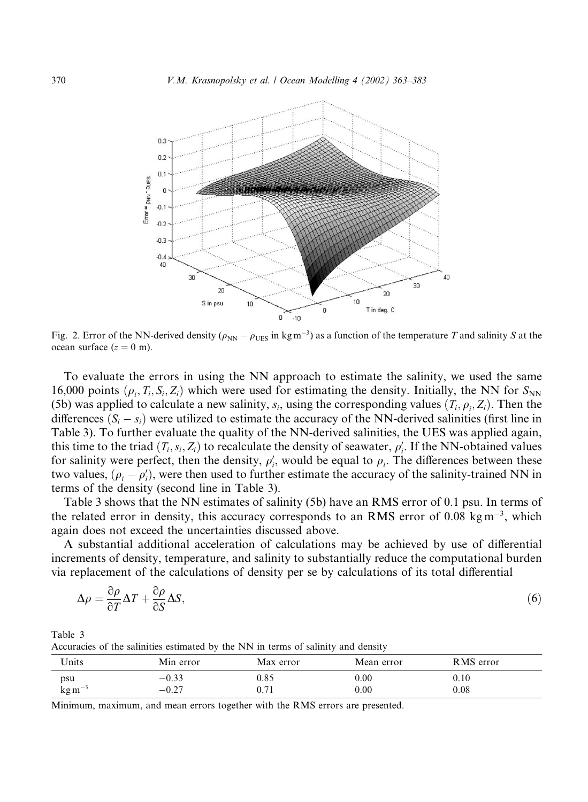

Fig. 2. Error of the NN-derived density ( $\rho_{NN} - \rho_{UES}$  in kg m<sup>-3</sup>) as a function of the temperature T and salinity S at the ocean surface  $(z = 0$  m).

To evaluate the errors in using the NN approach to estimate the salinity, we used the same 16,000 points  $(\rho_i, T_i, S_i, Z_i)$  which were used for estimating the density. Initially, the NN for  $S_{NN}$ (5b) was applied to calculate a new salinity,  $s_i$ , using the corresponding values  $(T_i, \rho_i, Z_i)$ . Then the differences  $(S_i - s_i)$  were utilized to estimate the accuracy of the NN-derived salinities (first line in Table 3). To further evaluate the quality of the NN-derived salinities, the UES was applied again, this time to the triad  $(T_i, s_i, Z_i)$  to recalculate the density of seawater,  $\rho'_i$ . If the NN-obtained values for salinity were perfect, then the density,  $\rho'_i$ , would be equal to  $\rho_i$ . The differences between these two values,  $(\rho_i - \rho'_i)$ , were then used to further estimate the accuracy of the salinity-trained NN in terms of the density (second line in Table 3).

Table 3 shows that the NN estimates of salinity (5b) have an RMS error of 0.1 psu. In terms of the related error in density, this accuracy corresponds to an RMS error of 0.08 kg  $\text{m}^{-3}$ , which again does not exceed the uncertainties discussed above.

A substantial additional acceleration of calculations may be achieved by use of differential increments of density, temperature, and salinity to substantially reduce the computational burden via replacement of the calculations of density per se by calculations of its total differential

$$
\Delta \rho = \frac{\partial \rho}{\partial T} \Delta T + \frac{\partial \rho}{\partial S} \Delta S,\tag{6}
$$

Table 3 Accuracies of the salinities estimated by the NN in terms of salinity and density

| Units                      | Min error                       | Max error        | Mean error            | RMS error    |  |
|----------------------------|---------------------------------|------------------|-----------------------|--------------|--|
| psu<br>$kg\,\text{m}^{-3}$ | $-0.33$<br>$\sqrt{2}$<br>$-0.4$ | 0.85<br>$0.71\,$ | $_{0.00}$<br>$0.00\,$ | 0.10<br>0.08 |  |

Minimum, maximum, and mean errors together with the RMS errors are presented.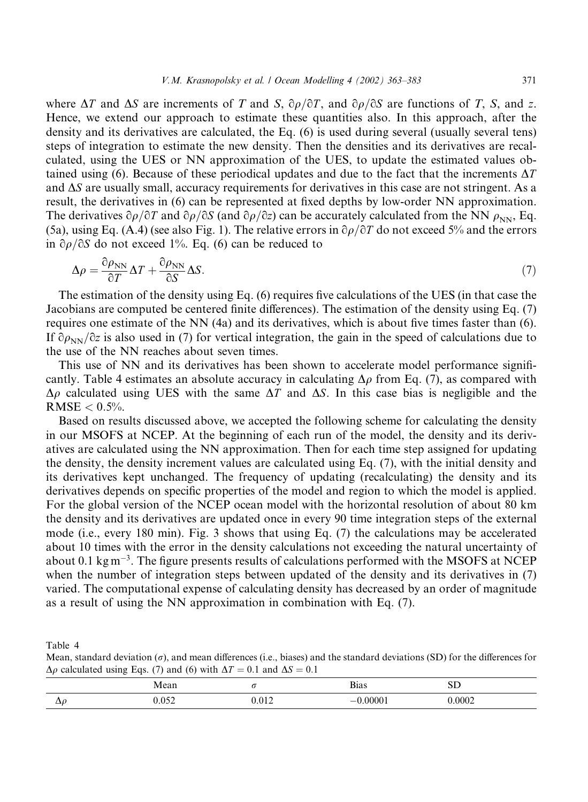where  $\Delta T$  and  $\Delta S$  are increments of T and S,  $\partial \rho / \partial T$ , and  $\partial \rho / \partial S$  are functions of T, S, and z. Hence, we extend our approach to estimate these quantities also. In this approach, after the density and its derivatives are calculated, the Eq. (6) is used during several (usually several tens) steps of integration to estimate the new density. Then the densities and its derivatives are recalculated, using the UES or NN approximation of the UES, to update the estimated values obtained using (6). Because of these periodical updates and due to the fact that the increments  $\Delta T$ and  $\Delta S$  are usually small, accuracy requirements for derivatives in this case are not stringent. As a result, the derivatives in (6) can be represented at fixed depths by low-order NN approximation. The derivatives  $\partial \rho / \partial T$  and  $\partial \rho / \partial S$  (and  $\partial \rho / \partial z$ ) can be accurately calculated from the NN  $\rho_{NN}$ , Eq. (5a), using Eq. (A.4) (see also Fig. 1). The relative errors in  $\partial \rho / \partial T$  do not exceed 5% and the errors in  $\partial \rho / \partial S$  do not exceed 1%. Eq. (6) can be reduced to

$$
\Delta \rho = \frac{\partial \rho_{\rm NN}}{\partial T} \Delta T + \frac{\partial \rho_{\rm NN}}{\partial S} \Delta S. \tag{7}
$$

The estimation of the density using Eq. (6) requires five calculations of the UES (in that case the Jacobians are computed be centered finite differences). The estimation of the density using Eq. (7) requires one estimate of the NN (4a) and its derivatives, which is about five times faster than (6). If  $\partial \rho_{NN}/\partial z$  is also used in (7) for vertical integration, the gain in the speed of calculations due to the use of the NN reaches about seven times.

This use of NN and its derivatives has been shown to accelerate model performance significantly. Table 4 estimates an absolute accuracy in calculating  $\Delta \rho$  from Eq. (7), as compared with  $\Delta \rho$  calculated using UES with the same  $\Delta T$  and  $\Delta S$ . In this case bias is negligible and the  $RMSE < 0.5\%$ .

Based on results discussed above, we accepted the following scheme for calculating the density in our MSOFS at NCEP. At the beginning of each run of the model, the density and its derivatives are calculated using the NN approximation. Then for each time step assigned for updating the density, the density increment values are calculated using Eq. (7), with the initial density and its derivatives kept unchanged. The frequency of updating (recalculating) the density and its derivatives depends on specific properties of the model and region to which the model is applied. For the global version of the NCEP ocean model with the horizontal resolution of about 80 km the density and its derivatives are updated once in every 90 time integration steps of the external mode (i.e., every 180 min). Fig. 3 shows that using Eq. (7) the calculations may be accelerated about 10 times with the error in the density calculations not exceeding the natural uncertainty of about 0.1 kg  $\text{m}^{-3}$ . The figure presents results of calculations performed with the MSOFS at NCEP when the number of integration steps between updated of the density and its derivatives in (7) varied. The computational expense of calculating density has decreased by an order of magnitude as a result of using the NN approximation in combination with Eq. (7).

Table 4

Mean, standard deviation  $(\sigma)$ , and mean differences (i.e., biases) and the standard deviations (SD) for the differences for  $\Delta \rho$  calculated using Eqs. (7) and (6) with  $\Delta T = 0.1$  and  $\Delta S = 0.1$ 

|            | $\alpha$ |     | $\sim$<br>B <sub>1</sub> a <sub>s</sub> | ىرى  |  |
|------------|----------|-----|-----------------------------------------|------|--|
| $\Delta t$ | <i></i>  | . . | $\sim$                                  | 0002 |  |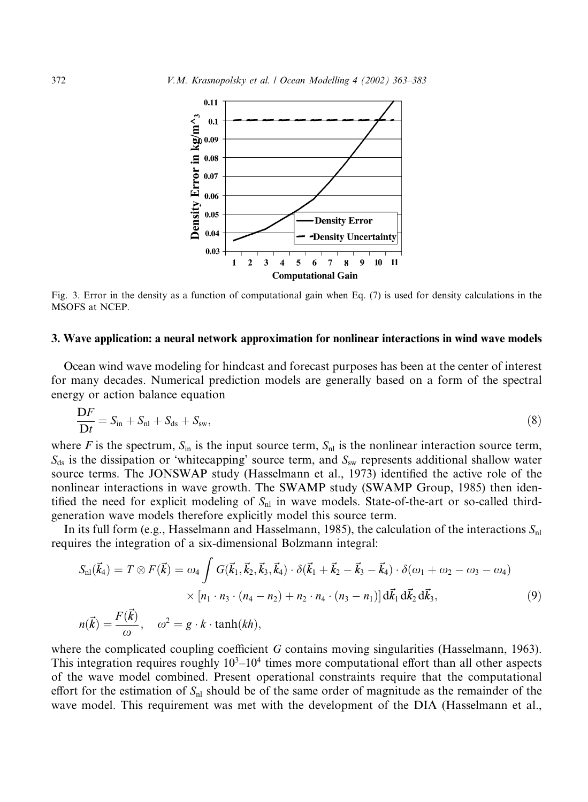

Fig. 3. Error in the density as a function of computational gain when Eq. (7) is used for density calculations in the MSOFS at NCEP.

## 3. Wave application: a neural network approximation for nonlinear interactions in wind wave models

Ocean wind wave modeling for hindcast and forecast purposes has been at the center of interest for many decades. Numerical prediction models are generally based on a form of the spectral energy or action balance equation

$$
\frac{\mathbf{D}F}{\mathbf{D}t} = S_{\text{in}} + S_{\text{nl}} + S_{\text{ds}} + S_{\text{sw}},\tag{8}
$$

where F is the spectrum,  $S_{\text{in}}$  is the input source term,  $S_{\text{nl}}$  is the nonlinear interaction source term,  $S_{ds}$  is the dissipation or 'whitecapping' source term, and  $S_{sw}$  represents additional shallow water source terms. The JONSWAP study (Hasselmann et al., 1973) identified the active role of the nonlinear interactions in wave growth. The SWAMP study (SWAMP Group, 1985) then identified the need for explicit modeling of  $S<sub>nl</sub>$  in wave models. State-of-the-art or so-called thirdgeneration wave models therefore explicitly model this source term.

In its full form (e.g., Hasselmann and Hasselmann, 1985), the calculation of the interactions  $S_{nl}$ requires the integration of a six-dimensional Bolzmann integral:

$$
S_{\rm nl}(\vec{k}_4) = T \otimes F(\vec{k}) = \omega_4 \int G(\vec{k}_1, \vec{k}_2, \vec{k}_3, \vec{k}_4) \cdot \delta(\vec{k}_1 + \vec{k}_2 - \vec{k}_3 - \vec{k}_4) \cdot \delta(\omega_1 + \omega_2 - \omega_3 - \omega_4)
$$
  
 
$$
\times [n_1 \cdot n_3 \cdot (n_4 - n_2) + n_2 \cdot n_4 \cdot (n_3 - n_1)] d\vec{k}_1 d\vec{k}_2 d\vec{k}_3,
$$
  
\n(9)  
\n
$$
n(\vec{k}) = \frac{F(\vec{k})}{\omega}, \quad \omega^2 = g \cdot k \cdot \tanh(kh),
$$

where the complicated coupling coefficient G contains moving singularities (Hasselmann, 1963). This integration requires roughly  $10<sup>3</sup>$ –10<sup>4</sup> times more computational effort than all other aspects of the wave model combined. Present operational constraints require that the computational effort for the estimation of  $S<sub>nl</sub>$  should be of the same order of magnitude as the remainder of the wave model. This requirement was met with the development of the DIA (Hasselmann et al.,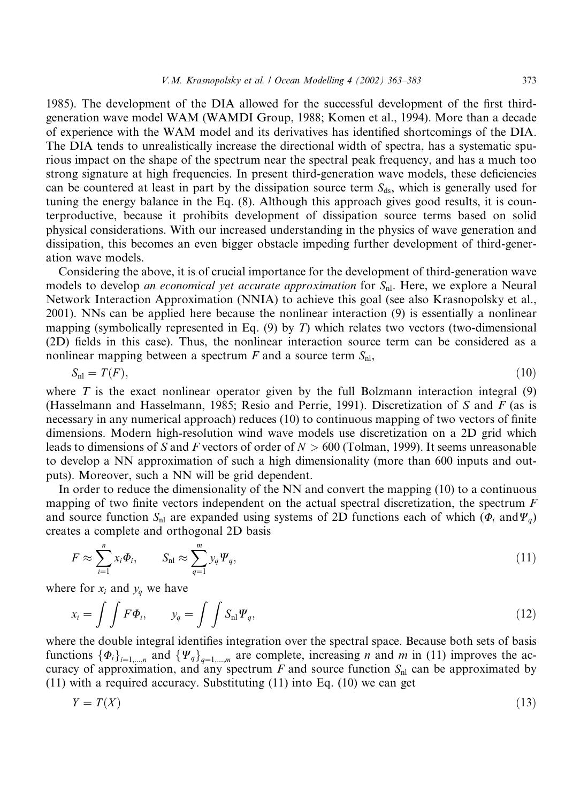1985). The development of the DIA allowed for the successful development of the first thirdgeneration wave model WAM (WAMDI Group, 1988; Komen et al., 1994). More than a decade of experience with the WAM model and its derivatives has identified shortcomings of the DIA. The DIA tends to unrealistically increase the directional width of spectra, has a systematic spurious impact on the shape of the spectrum near the spectral peak frequency, and has a much too strong signature at high frequencies. In present third-generation wave models, these deficiencies can be countered at least in part by the dissipation source term  $S_{ds}$ , which is generally used for tuning the energy balance in the Eq. (8). Although this approach gives good results, it is counterproductive, because it prohibits development of dissipation source terms based on solid physical considerations. With our increased understanding in the physics of wave generation and dissipation, this becomes an even bigger obstacle impeding further development of third-generation wave models.

Considering the above, it is of crucial importance for the development of third-generation wave models to develop *an economical yet accurate approximation* for  $S_{nl}$ . Here, we explore a Neural Network Interaction Approximation (NNIA) to achieve this goal (see also Krasnopolsky et al., 2001). NNs can be applied here because the nonlinear interaction (9) is essentially a nonlinear mapping (symbolically represented in Eq.  $(9)$  by T) which relates two vectors (two-dimensional (2D) fields in this case). Thus, the nonlinear interaction source term can be considered as a nonlinear mapping between a spectrum F and a source term  $S_{nl}$ ,

 $S_{\rm nl} = T(F)$ , (10)

where  $T$  is the exact nonlinear operator given by the full Bolzmann interaction integral  $(9)$ (Hasselmann and Hasselmann, 1985; Resio and Perrie, 1991). Discretization of  $S$  and  $F$  (as is necessary in any numerical approach) reduces (10) to continuous mapping of two vectors of finite dimensions. Modern high-resolution wind wave models use discretization on a 2D grid which leads to dimensions of S and F vectors of order of  $N > 600$  (Tolman, 1999). It seems unreasonable to develop a NN approximation of such a high dimensionality (more than 600 inputs and outputs). Moreover, such a NN will be grid dependent.

In order to reduce the dimensionality of the NN and convert the mapping (10) to a continuous mapping of two finite vectors independent on the actual spectral discretization, the spectrum  $F$ and source function  $S_{nl}$  are expanded using systems of 2D functions each of which ( $\Phi_i$  and  $\Psi_q$ ) creates a complete and orthogonal 2D basis

$$
F \approx \sum_{i=1}^{n} x_i \Phi_i, \qquad S_{\rm nl} \approx \sum_{q=1}^{m} y_q \Psi_q,
$$
\n(11)

where for  $x_i$  and  $y_q$  we have

$$
x_i = \int \int F \Phi_i, \qquad y_q = \int \int S_{\rm nl} \Psi_q,
$$
\n(12)

where the double integral identifies integration over the spectral space. Because both sets of basis functions  $\{\Phi_i\}_{i=1,\dots,n}$  and  $\{\Psi_q\}_{q=1,\dots,m}$  are complete, increasing n and m in (11) improves the accuracy of approximation, and any spectrum F and source function  $S<sub>nl</sub>$  can be approximated by (11) with a required accuracy. Substituting (11) into Eq. (10) we can get

$$
Y = T(X) \tag{13}
$$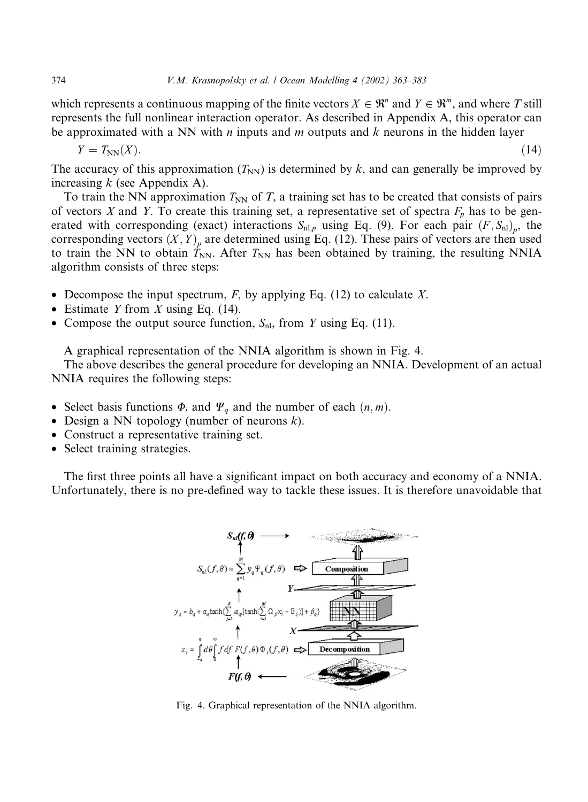which represents a continuous mapping of the finite vectors  $X \in \mathbb{R}^n$  and  $Y \in \mathbb{R}^m$ , and where T still represents the full nonlinear interaction operator. As described in Appendix A, this operator can be approximated with a NN with  $n$  inputs and  $m$  outputs and  $k$  neurons in the hidden layer

$$
Y = T_{\text{NN}}(X). \tag{14}
$$

The accuracy of this approximation  $(T<sub>NN</sub>)$  is determined by k, and can generally be improved by increasing  $k$  (see Appendix A).

To train the NN approximation  $T_{NN}$  of T, a training set has to be created that consists of pairs of vectors X and Y. To create this training set, a representative set of spectra  $F_p$  has to be generated with corresponding (exact) interactions  $S_{nl,p}$  using Eq. (9). For each pair  $(F, S_{nl})_p$ , the corresponding vectors  $(X, Y)$ <sub>n</sub> are determined using Eq. (12). These pairs of vectors are then used to train the NN to obtain  $T_{NN}$ . After  $T_{NN}$  has been obtained by training, the resulting NNIA algorithm consists of three steps:

- Decompose the input spectrum,  $F$ , by applying Eq. (12) to calculate  $X$ .
- Estimate Y from X using Eq.  $(14)$ .
- Compose the output source function,  $S<sub>nl</sub>$ , from Y using Eq. (11).

A graphical representation of the NNIA algorithm is shown in Fig. 4.

The above describes the general procedure for developing an NNIA. Development of an actual NNIA requires the following steps:

- Select basis functions  $\Phi_i$  and  $\Psi_q$  and the number of each  $(n, m)$ .
- Design a NN topology (number of neurons  $k$ ).
- Construct a representative training set.
- Select training strategies.

The first three points all have a significant impact on both accuracy and economy of a NNIA. Unfortunately, there is no pre-defined way to tackle these issues. It is therefore unavoidable that



Fig. 4. Graphical representation of the NNIA algorithm.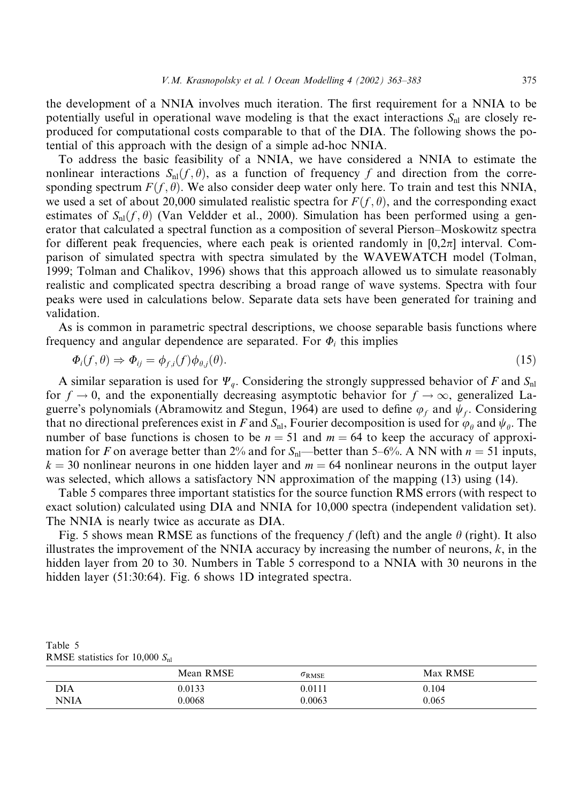the development of a NNIA involves much iteration. The first requirement for a NNIA to be potentially useful in operational wave modeling is that the exact interactions  $S<sub>nl</sub>$  are closely reproduced for computational costs comparable to that of the DIA. The following shows the potential of this approach with the design of a simple ad-hoc NNIA.

To address the basic feasibility of a NNIA, we have considered a NNIA to estimate the nonlinear interactions  $S<sub>n</sub>(f, \theta)$ , as a function of frequency f and direction from the corresponding spectrum  $F(f, \theta)$ . We also consider deep water only here. To train and test this NNIA, we used a set of about 20,000 simulated realistic spectra for  $F(f, \theta)$ , and the corresponding exact estimates of  $S<sub>nl</sub>(f, \theta)$  (Van Veldder et al., 2000). Simulation has been performed using a generator that calculated a spectral function as a composition of several Pierson–Moskowitz spectra for different peak frequencies, where each peak is oriented randomly in  $[0,2\pi]$  interval. Comparison of simulated spectra with spectra simulated by the WAVEWATCH model (Tolman, 1999; Tolman and Chalikov, 1996) shows that this approach allowed us to simulate reasonably realistic and complicated spectra describing a broad range of wave systems. Spectra with four peaks were used in calculations below. Separate data sets have been generated for training and validation.

As is common in parametric spectral descriptions, we choose separable basis functions where frequency and angular dependence are separated. For  $\Phi_i$  this implies

$$
\Phi_i(f,\theta) \Rightarrow \Phi_{ij} = \phi_{f,i}(f)\phi_{\theta,j}(\theta). \tag{15}
$$

A similar separation is used for  $\Psi_a$ . Considering the strongly suppressed behavior of F and  $S_{nl}$ for  $f \to 0$ , and the exponentially decreasing asymptotic behavior for  $f \to \infty$ , generalized Laguerre's polynomials (Abramowitz and Stegun, 1964) are used to define  $\varphi_f$  and  $\psi_f$ . Considering that no directional preferences exist in F and  $S_{nl}$ , Fourier decomposition is used for  $\varphi_{\theta}$  and  $\psi_{\theta}$ . The number of base functions is chosen to be  $n = 51$  and  $m = 64$  to keep the accuracy of approximation for F on average better than 2% and for  $S_{nl}$ —better than 5–6%. A NN with  $n = 51$  inputs,  $k = 30$  nonlinear neurons in one hidden layer and  $m = 64$  nonlinear neurons in the output layer was selected, which allows a satisfactory NN approximation of the mapping (13) using (14).

Table 5 compares three important statistics for the source function RMS errors (with respect to exact solution) calculated using DIA and NNIA for 10,000 spectra (independent validation set). The NNIA is nearly twice as accurate as DIA.

Fig. 5 shows mean RMSE as functions of the frequency f (left) and the angle  $\theta$  (right). It also illustrates the improvement of the NNIA accuracy by increasing the number of neurons,  $k$ , in the hidden layer from 20 to 30. Numbers in Table 5 correspond to a NNIA with 30 neurons in the hidden layer (51:30:64). Fig. 6 shows 1D integrated spectra.

| Table 5                             |  |
|-------------------------------------|--|
| RMSE statistics for 10,000 $S_{nl}$ |  |

|             | Mean RMSE | $\sigma_{\rm RMSE}$ | Max RMSE |
|-------------|-----------|---------------------|----------|
| DIA         | 0.0133    | 0.0111              | 0.104    |
| <b>NNIA</b> | 0.0068    | 0.0063              | 0.065    |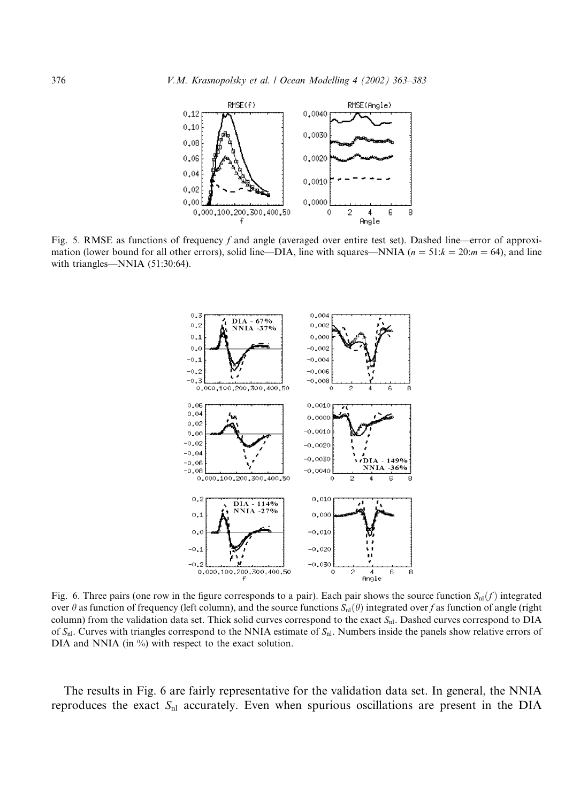

Fig. 5. RMSE as functions of frequency f and angle (averaged over entire test set). Dashed line—error of approximation (lower bound for all other errors), solid line—DIA, line with squares—NNIA ( $n = 51:k = 20:m = 64$ ), and line with triangles—NNIA (51:30:64).



Fig. 6. Three pairs (one row in the figure corresponds to a pair). Each pair shows the source function  $S_{nl}(f)$  integrated over  $\theta$  as function of frequency (left column), and the source functions  $S_{nl}(\theta)$  integrated over f as function of angle (right column) from the validation data set. Thick solid curves correspond to the exact  $S<sub>nl</sub>$ . Dashed curves correspond to DIA of  $S<sub>nl</sub>$ . Curves with triangles correspond to the NNIA estimate of  $S<sub>nl</sub>$ . Numbers inside the panels show relative errors of DIA and NNIA (in %) with respect to the exact solution.

The results in Fig. 6 are fairly representative for the validation data set. In general, the NNIA reproduces the exact  $S<sub>nl</sub>$  accurately. Even when spurious oscillations are present in the DIA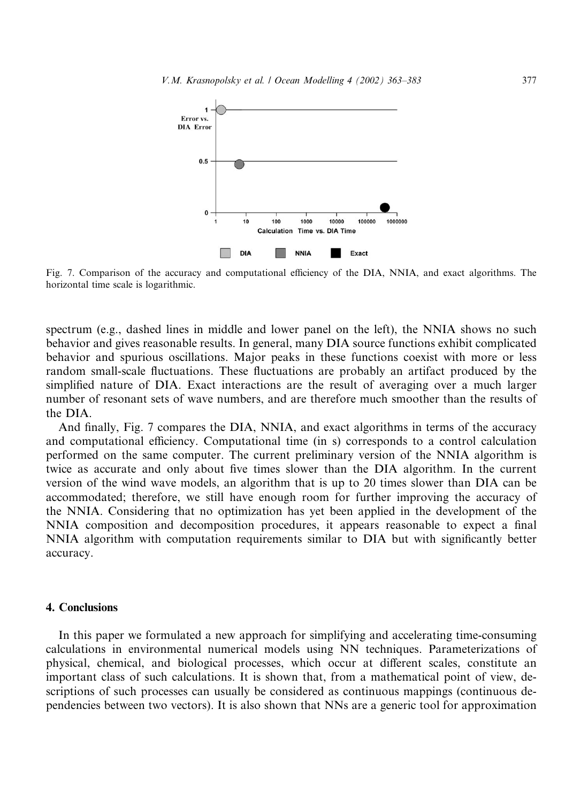

Fig. 7. Comparison of the accuracy and computational efficiency of the DIA, NNIA, and exact algorithms. The horizontal time scale is logarithmic.

spectrum (e.g., dashed lines in middle and lower panel on the left), the NNIA shows no such behavior and gives reasonable results. In general, many DIA source functions exhibit complicated behavior and spurious oscillations. Major peaks in these functions coexist with more or less random small-scale fluctuations. These fluctuations are probably an artifact produced by the simplified nature of DIA. Exact interactions are the result of averaging over a much larger number of resonant sets of wave numbers, and are therefore much smoother than the results of the DIA.

And finally, Fig. 7 compares the DIA, NNIA, and exact algorithms in terms of the accuracy and computational efficiency. Computational time (in s) corresponds to a control calculation performed on the same computer. The current preliminary version of the NNIA algorithm is twice as accurate and only about five times slower than the DIA algorithm. In the current version of the wind wave models, an algorithm that is up to 20 times slower than DIA can be accommodated; therefore, we still have enough room for further improving the accuracy of the NNIA. Considering that no optimization has yet been applied in the development of the NNIA composition and decomposition procedures, it appears reasonable to expect a final NNIA algorithm with computation requirements similar to DIA but with significantly better accuracy.

### 4. Conclusions

In this paper we formulated a new approach for simplifying and accelerating time-consuming calculations in environmental numerical models using NN techniques. Parameterizations of physical, chemical, and biological processes, which occur at different scales, constitute an important class of such calculations. It is shown that, from a mathematical point of view, descriptions of such processes can usually be considered as continuous mappings (continuous dependencies between two vectors). It is also shown that NNs are a generic tool for approximation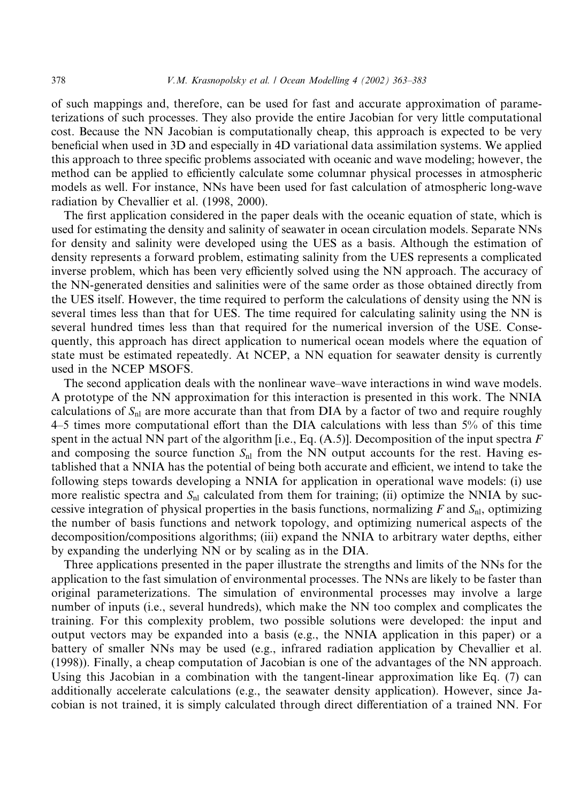of such mappings and, therefore, can be used for fast and accurate approximation of parameterizations of such processes. They also provide the entire Jacobian for very little computational cost. Because the NN Jacobian is computationally cheap, this approach is expected to be very beneficial when used in 3D and especially in 4D variational data assimilation systems. We applied this approach to three specific problems associated with oceanic and wave modeling; however, the method can be applied to efficiently calculate some columnar physical processes in atmospheric models as well. For instance, NNs have been used for fast calculation of atmospheric long-wave radiation by Chevallier et al. (1998, 2000).

The first application considered in the paper deals with the oceanic equation of state, which is used for estimating the density and salinity of seawater in ocean circulation models. Separate NNs for density and salinity were developed using the UES as a basis. Although the estimation of density represents a forward problem, estimating salinity from the UES represents a complicated inverse problem, which has been very efficiently solved using the NN approach. The accuracy of the NN-generated densities and salinities were of the same order as those obtained directly from the UES itself. However, the time required to perform the calculations of density using the NN is several times less than that for UES. The time required for calculating salinity using the NN is several hundred times less than that required for the numerical inversion of the USE. Consequently, this approach has direct application to numerical ocean models where the equation of state must be estimated repeatedly. At NCEP, a NN equation for seawater density is currently used in the NCEP MSOFS.

The second application deals with the nonlinear wave–wave interactions in wind wave models. A prototype of the NN approximation for this interaction is presented in this work. The NNIA calculations of  $S<sub>nl</sub>$  are more accurate than that from DIA by a factor of two and require roughly 4–5 times more computational effort than the DIA calculations with less than 5% of this time spent in the actual NN part of the algorithm [i.e., Eq.  $(A.5)$ ]. Decomposition of the input spectra F and composing the source function  $S<sub>nl</sub>$  from the NN output accounts for the rest. Having established that a NNIA has the potential of being both accurate and efficient, we intend to take the following steps towards developing a NNIA for application in operational wave models: (i) use more realistic spectra and  $S<sub>nl</sub>$  calculated from them for training; (ii) optimize the NNIA by successive integration of physical properties in the basis functions, normalizing  $F$  and  $S<sub>nl</sub>$ , optimizing the number of basis functions and network topology, and optimizing numerical aspects of the decomposition/compositions algorithms; (iii) expand the NNIA to arbitrary water depths, either by expanding the underlying NN or by scaling as in the DIA.

Three applications presented in the paper illustrate the strengths and limits of the NNs for the application to the fast simulation of environmental processes. The NNs are likely to be faster than original parameterizations. The simulation of environmental processes may involve a large number of inputs (i.e., several hundreds), which make the NN too complex and complicates the training. For this complexity problem, two possible solutions were developed: the input and output vectors may be expanded into a basis (e.g., the NNIA application in this paper) or a battery of smaller NNs may be used (e.g., infrared radiation application by Chevallier et al. (1998)). Finally, a cheap computation of Jacobian is one of the advantages of the NN approach. Using this Jacobian in a combination with the tangent-linear approximation like Eq. (7) can additionally accelerate calculations (e.g., the seawater density application). However, since Jacobian is not trained, it is simply calculated through direct differentiation of a trained NN. For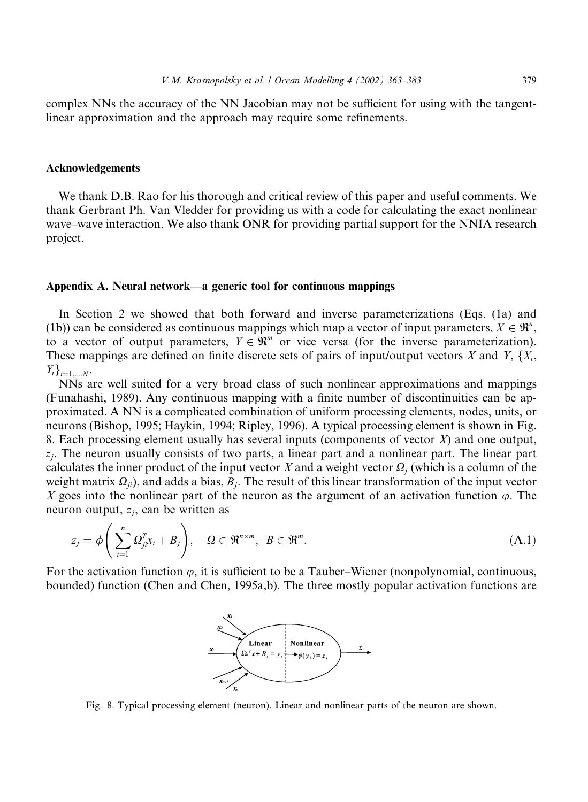complex NNs the accuracy of the NN Jacobian may not be sufficient for using with the tangentlinear approximation and the approach may require some refinements.

#### Acknowledgements

We thank D.B. Rao for his thorough and critical review of this paper and useful comments. We thank Gerbrant Ph. Van Vledder for providing us with a code for calculating the exact nonlinear wave–wave interaction. We also thank ONR for providing partial support for the NNIA research project.

## Appendix A. Neural network––a generic tool for continuous mappings

In Section 2 we showed that both forward and inverse parameterizations (Eqs. (1a) and (1b)) can be considered as continuous mappings which map a vector of input parameters,  $X \in \mathbb{R}^n$ , to a vector of output parameters,  $Y \in \mathbb{R}^m$  or vice versa (for the inverse parameterization). These mappings are defined on finite discrete sets of pairs of input/output vectors X and Y,  $\{X_i,$  $Y_i\}_{i=1,...,N}$ .

NNs are well suited for a very broad class of such nonlinear approximations and mappings (Funahashi, 1989). Any continuous mapping with a finite number of discontinuities can be approximated. A NN is a complicated combination of uniform processing elements, nodes, units, or neurons (Bishop, 1995; Haykin, 1994; Ripley, 1996). A typical processing element is shown in Fig. 8. Each processing element usually has several inputs (components of vector  $X$ ) and one output,  $z_i$ . The neuron usually consists of two parts, a linear part and a nonlinear part. The linear part calculates the inner product of the input vector X and a weight vector  $\Omega_i$  (which is a column of the weight matrix  $\Omega_{ii}$ ), and adds a bias,  $B_i$ . The result of this linear transformation of the input vector X goes into the nonlinear part of the neuron as the argument of an activation function  $\varphi$ . The neuron output,  $z_i$ , can be written as

$$
z_j = \phi\left(\sum_{i=1}^n \Omega_{ji}^T x_i + B_j\right), \quad \Omega \in \mathfrak{R}^{n \times m}, \ B \in \mathfrak{R}^m. \tag{A.1}
$$

For the activation function  $\varphi$ , it is sufficient to be a Tauber–Wiener (nonpolynomial, continuous, bounded) function (Chen and Chen, 1995a,b). The three mostly popular activation functions are



Fig. 8. Typical processing element (neuron). Linear and nonlinear parts of the neuron are shown.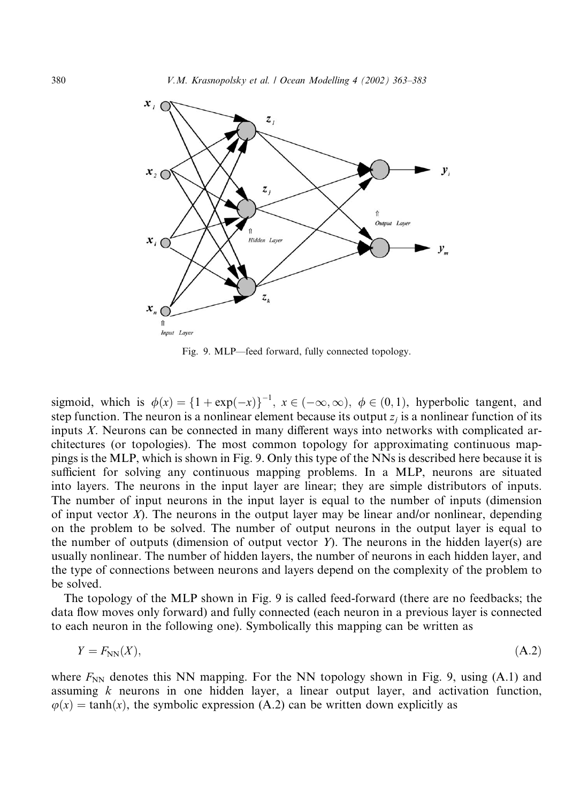

Fig. 9. MLP—feed forward, fully connected topology.

sigmoid, which is  $\phi(x) = \{1 + \exp(-x)\}^{-1}$ ,  $x \in (-\infty, \infty)$ ,  $\phi \in (0, 1)$ , hyperbolic tangent, and step function. The neuron is a nonlinear element because its output  $z_i$  is a nonlinear function of its inputs  $X$ . Neurons can be connected in many different ways into networks with complicated architectures (or topologies). The most common topology for approximating continuous mappings is the MLP, which is shown in Fig. 9. Only this type of the NNs is described here because it is sufficient for solving any continuous mapping problems. In a MLP, neurons are situated into layers. The neurons in the input layer are linear; they are simple distributors of inputs. The number of input neurons in the input layer is equal to the number of inputs (dimension of input vector  $X$ ). The neurons in the output layer may be linear and/or nonlinear, depending on the problem to be solved. The number of output neurons in the output layer is equal to the number of outputs (dimension of output vector Y). The neurons in the hidden layer(s) are usually nonlinear. The number of hidden layers, the number of neurons in each hidden layer, and the type of connections between neurons and layers depend on the complexity of the problem to be solved.

The topology of the MLP shown in Fig. 9 is called feed-forward (there are no feedbacks; the data flow moves only forward) and fully connected (each neuron in a previous layer is connected to each neuron in the following one). Symbolically this mapping can be written as

$$
Y = F_{\text{NN}}(X),\tag{A.2}
$$

where  $F_{NN}$  denotes this NN mapping. For the NN topology shown in Fig. 9, using (A.1) and assuming k neurons in one hidden layer, a linear output layer, and activation function,  $\varphi(x) = \tanh(x)$ , the symbolic expression (A.2) can be written down explicitly as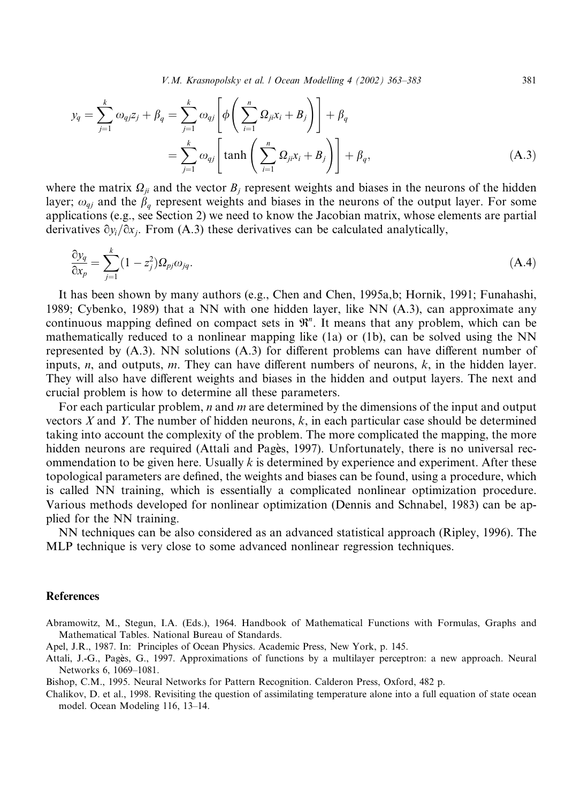V.M. Krasnopolsky et al. / Ocean Modelling 4 (2002) 363–383 381

$$
y_q = \sum_{j=1}^k \omega_{qj} z_j + \beta_q = \sum_{j=1}^k \omega_{qj} \left[ \phi \left( \sum_{i=1}^n \Omega_{ji} x_i + B_j \right) \right] + \beta_q
$$
  
= 
$$
\sum_{j=1}^k \omega_{qj} \left[ \tanh \left( \sum_{i=1}^n \Omega_{ji} x_i + B_j \right) \right] + \beta_q,
$$
 (A.3)

where the matrix  $\Omega_{ii}$  and the vector  $B_i$  represent weights and biases in the neurons of the hidden layer;  $\omega_{qi}$  and the  $\beta_q$  represent weights and biases in the neurons of the output layer. For some applications (e.g., see Section 2) we need to know the Jacobian matrix, whose elements are partial derivatives  $\partial y_i/\partial x_j$ . From (A.3) these derivatives can be calculated analytically,

$$
\frac{\partial y_q}{\partial x_p} = \sum_{j=1}^k (1 - z_j^2) \Omega_{pj} \omega_{jq}.
$$
\n(A.4)

It has been shown by many authors (e.g., Chen and Chen, 1995a,b; Hornik, 1991; Funahashi, 1989; Cybenko, 1989) that a NN with one hidden layer, like NN (A.3), can approximate any continuous mapping defined on compact sets in  $\mathfrak{R}^n$ . It means that any problem, which can be mathematically reduced to a nonlinear mapping like (1a) or (1b), can be solved using the NN represented by (A.3). NN solutions (A.3) for different problems can have different number of inputs, n, and outputs, m. They can have different numbers of neurons,  $k$ , in the hidden layer. They will also have different weights and biases in the hidden and output layers. The next and crucial problem is how to determine all these parameters.

For each particular problem, *n* and *m* are determined by the dimensions of the input and output vectors  $X$  and  $Y$ . The number of hidden neurons,  $k$ , in each particular case should be determined taking into account the complexity of the problem. The more complicated the mapping, the more hidden neurons are required (Attali and Pagès, 1997). Unfortunately, there is no universal recommendation to be given here. Usually  $k$  is determined by experience and experiment. After these topological parameters are defined, the weights and biases can be found, using a procedure, which is called NN training, which is essentially a complicated nonlinear optimization procedure. Various methods developed for nonlinear optimization (Dennis and Schnabel, 1983) can be applied for the NN training.

NN techniques can be also considered as an advanced statistical approach (Ripley, 1996). The MLP technique is very close to some advanced nonlinear regression techniques.

## References

Abramowitz, M., Stegun, I.A. (Eds.), 1964. Handbook of Mathematical Functions with Formulas, Graphs and Mathematical Tables. National Bureau of Standards.

Apel, J.R., 1987. In: Principles of Ocean Physics. Academic Press, New York, p. 145.

Attali, J.-G., Pagès, G., 1997. Approximations of functions by a multilayer perceptron: a new approach. Neural Networks 6, 1069–1081.

Bishop, C.M., 1995. Neural Networks for Pattern Recognition. Calderon Press, Oxford, 482 p.

Chalikov, D. et al., 1998. Revisiting the question of assimilating temperature alone into a full equation of state ocean model. Ocean Modeling 116, 13–14.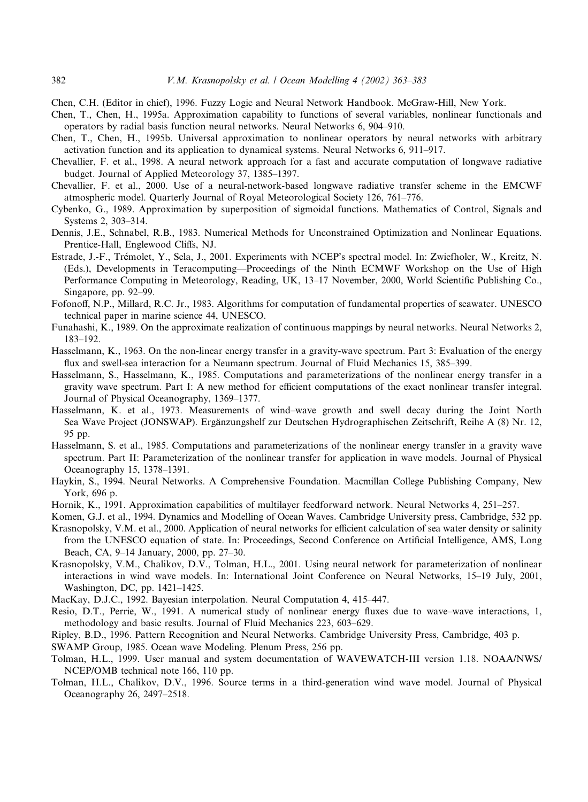- Chen, C.H. (Editor in chief), 1996. Fuzzy Logic and Neural Network Handbook. McGraw-Hill, New York.
- Chen, T., Chen, H., 1995a. Approximation capability to functions of several variables, nonlinear functionals and operators by radial basis function neural networks. Neural Networks 6, 904–910.
- Chen, T., Chen, H., 1995b. Universal approximation to nonlinear operators by neural networks with arbitrary activation function and its application to dynamical systems. Neural Networks 6, 911–917.
- Chevallier, F. et al., 1998. A neural network approach for a fast and accurate computation of longwave radiative budget. Journal of Applied Meteorology 37, 1385–1397.
- Chevallier, F. et al., 2000. Use of a neural-network-based longwave radiative transfer scheme in the EMCWF atmospheric model. Quarterly Journal of Royal Meteorological Society 126, 761–776.
- Cybenko, G., 1989. Approximation by superposition of sigmoidal functions. Mathematics of Control, Signals and Systems 2, 303–314.
- Dennis, J.E., Schnabel, R.B., 1983. Numerical Methods for Unconstrained Optimization and Nonlinear Equations. Prentice-Hall, Englewood Cliffs, NJ.
- Estrade, J.-F., Tremolet, Y., Sela, J., 2001. Experiments with NCEP's spectral model. In: Zwiefholer, W., Kreitz, N. (Eds.), Developments in Teracomputing—Proceedings of the Ninth ECMWF Workshop on the Use of High Performance Computing in Meteorology, Reading, UK, 13–17 November, 2000, World Scientific Publishing Co., Singapore, pp. 92–99.
- Fofonoff, N.P., Millard, R.C. Jr., 1983. Algorithms for computation of fundamental properties of seawater. UNESCO technical paper in marine science 44, UNESCO.
- Funahashi, K., 1989. On the approximate realization of continuous mappings by neural networks. Neural Networks 2, 183–192.
- Hasselmann, K., 1963. On the non-linear energy transfer in a gravity-wave spectrum. Part 3: Evaluation of the energy flux and swell-sea interaction for a Neumann spectrum. Journal of Fluid Mechanics 15, 385–399.
- Hasselmann, S., Hasselmann, K., 1985. Computations and parameterizations of the nonlinear energy transfer in a gravity wave spectrum. Part I: A new method for efficient computations of the exact nonlinear transfer integral. Journal of Physical Oceanography, 1369–1377.
- Hasselmann, K. et al., 1973. Measurements of wind–wave growth and swell decay during the Joint North Sea Wave Project (JONSWAP). Erg€anzungshelf zur Deutschen Hydrographischen Zeitschrift, Reihe A (8) Nr. 12, 95 pp.
- Hasselmann, S. et al., 1985. Computations and parameterizations of the nonlinear energy transfer in a gravity wave spectrum. Part II: Parameterization of the nonlinear transfer for application in wave models. Journal of Physical Oceanography 15, 1378–1391.
- Haykin, S., 1994. Neural Networks. A Comprehensive Foundation. Macmillan College Publishing Company, New York, 696 p.
- Hornik, K., 1991. Approximation capabilities of multilayer feedforward network. Neural Networks 4, 251–257.
- Komen, G.J. et al., 1994. Dynamics and Modelling of Ocean Waves. Cambridge University press, Cambridge, 532 pp.
- Krasnopolsky, V.M. et al., 2000. Application of neural networks for efficient calculation of sea water density or salinity from the UNESCO equation of state. In: Proceedings, Second Conference on Artificial Intelligence, AMS, Long Beach, CA, 9–14 January, 2000, pp. 27–30.
- Krasnopolsky, V.M., Chalikov, D.V., Tolman, H.L., 2001. Using neural network for parameterization of nonlinear interactions in wind wave models. In: International Joint Conference on Neural Networks, 15–19 July, 2001, Washington, DC, pp. 1421–1425.
- MacKay, D.J.C., 1992. Bayesian interpolation. Neural Computation 4, 415–447.
- Resio, D.T., Perrie, W., 1991. A numerical study of nonlinear energy fluxes due to wave–wave interactions, 1, methodology and basic results. Journal of Fluid Mechanics 223, 603–629.
- Ripley, B.D., 1996. Pattern Recognition and Neural Networks. Cambridge University Press, Cambridge, 403 p.
- SWAMP Group, 1985. Ocean wave Modeling. Plenum Press, 256 pp.
- Tolman, H.L., 1999. User manual and system documentation of WAVEWATCH-III version 1.18. NOAA/NWS/ NCEP/OMB technical note 166, 110 pp.
- Tolman, H.L., Chalikov, D.V., 1996. Source terms in a third-generation wind wave model. Journal of Physical Oceanography 26, 2497–2518.